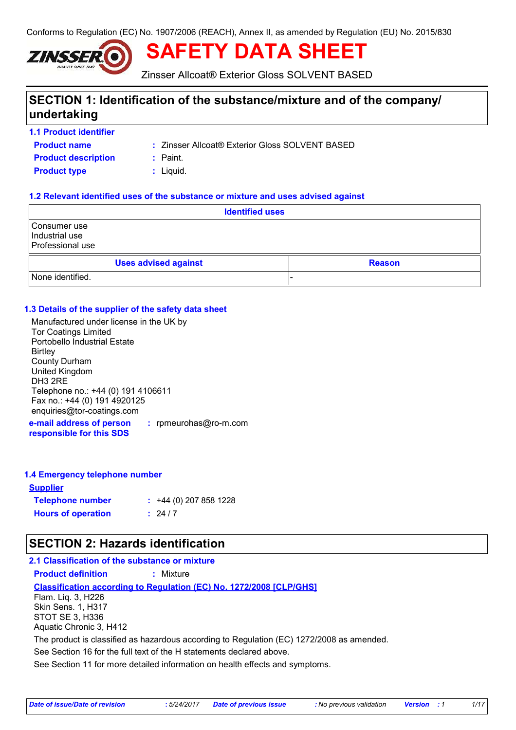Conforms to Regulation (EC) No. 1907/2006 (REACH), Annex II, as amended by Regulation (EU) No. 2015/830



**SAFETY DATA SHEET**

Zinsser Allcoat® Exterior Gloss SOLVENT BASED

# **SECTION 1: Identification of the substance/mixture and of the company/ undertaking**

**1.1 Product identifier**

**Product name**

Zinsser Allcoat® Exterior Gloss SOLVENT BASED **:**

**Product description :** Paint.

**Product type**  $\qquad$ **: Liquid.** 

#### **1.2 Relevant identified uses of the substance or mixture and uses advised against**

| <b>Identified uses</b>                             |  |  |  |
|----------------------------------------------------|--|--|--|
| Consumer use<br>Industrial use<br>Professional use |  |  |  |
| <b>Uses advised against</b><br><b>Reason</b>       |  |  |  |
| None identified.                                   |  |  |  |

#### **1.3 Details of the supplier of the safety data sheet**

Manufactured under license in the UK by Tor Coatings Limited Portobello Industrial Estate **Birtley** County Durham United Kingdom DH3 2RE Telephone no.: +44 (0) 191 4106611 Fax no.: +44 (0) 191 4920125 enquiries@tor-coatings.com

**e-mail address of person responsible for this SDS :** rpmeurohas@ro-m.com

#### **1.4 Emergency telephone number**

| <b>Supplier</b>           |                         |
|---------------------------|-------------------------|
| <b>Telephone number</b>   | $: +44(0)$ 207 858 1228 |
| <b>Hours of operation</b> | $\frac{1}{2}$ 24/7      |

### **SECTION 2: Hazards identification**

See Section 11 for more detailed information on health effects and symptoms. **Classification according to Regulation (EC) No. 1272/2008 [CLP/GHS] 2.1 Classification of the substance or mixture Product definition :** Mixture See Section 16 for the full text of the H statements declared above. Flam. Liq. 3, H226 Skin Sens. 1, H317 STOT SE 3, H336 Aquatic Chronic 3, H412 The product is classified as hazardous according to Regulation (EC) 1272/2008 as amended.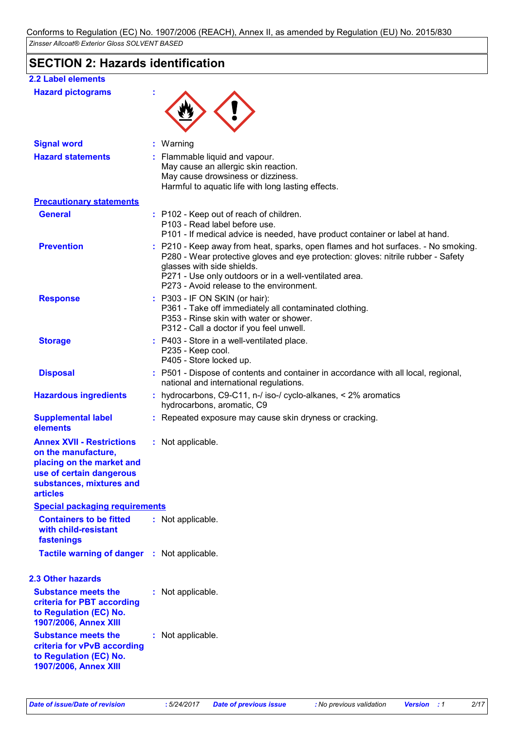# **SECTION 2: Hazards identification**

| <b>2.2 Label elements</b>                                                                                                                                       |                                                                                                                                                                                                                                                                                                            |
|-----------------------------------------------------------------------------------------------------------------------------------------------------------------|------------------------------------------------------------------------------------------------------------------------------------------------------------------------------------------------------------------------------------------------------------------------------------------------------------|
| <b>Hazard pictograms</b>                                                                                                                                        |                                                                                                                                                                                                                                                                                                            |
|                                                                                                                                                                 |                                                                                                                                                                                                                                                                                                            |
|                                                                                                                                                                 |                                                                                                                                                                                                                                                                                                            |
| <b>Signal word</b>                                                                                                                                              | : Warning                                                                                                                                                                                                                                                                                                  |
| <b>Hazard statements</b>                                                                                                                                        | : Flammable liquid and vapour.<br>May cause an allergic skin reaction.<br>May cause drowsiness or dizziness.<br>Harmful to aquatic life with long lasting effects.                                                                                                                                         |
| <b>Precautionary statements</b>                                                                                                                                 |                                                                                                                                                                                                                                                                                                            |
| <b>General</b>                                                                                                                                                  | : P102 - Keep out of reach of children.<br>P103 - Read label before use.<br>P101 - If medical advice is needed, have product container or label at hand.                                                                                                                                                   |
| <b>Prevention</b>                                                                                                                                               | : P210 - Keep away from heat, sparks, open flames and hot surfaces. - No smoking.<br>P280 - Wear protective gloves and eye protection: gloves: nitrile rubber - Safety<br>glasses with side shields.<br>P271 - Use only outdoors or in a well-ventilated area.<br>P273 - Avoid release to the environment. |
| <b>Response</b>                                                                                                                                                 | : P303 - IF ON SKIN (or hair):<br>P361 - Take off immediately all contaminated clothing.<br>P353 - Rinse skin with water or shower.<br>P312 - Call a doctor if you feel unwell.                                                                                                                            |
| <b>Storage</b>                                                                                                                                                  | : P403 - Store in a well-ventilated place.<br>P235 - Keep cool.<br>P405 - Store locked up.                                                                                                                                                                                                                 |
| <b>Disposal</b>                                                                                                                                                 | : P501 - Dispose of contents and container in accordance with all local, regional,<br>national and international regulations.                                                                                                                                                                              |
| <b>Hazardous ingredients</b>                                                                                                                                    | : hydrocarbons, C9-C11, n-/ iso-/ cyclo-alkanes, < 2% aromatics<br>hydrocarbons, aromatic, C9                                                                                                                                                                                                              |
| <b>Supplemental label</b><br>elements                                                                                                                           | : Repeated exposure may cause skin dryness or cracking.                                                                                                                                                                                                                                                    |
| <b>Annex XVII - Restrictions</b><br>on the manufacture,<br>placing on the market and<br>use of certain dangerous<br>substances, mixtures and<br><b>articles</b> | : Not applicable.                                                                                                                                                                                                                                                                                          |
| <b>Special packaging requirements</b>                                                                                                                           |                                                                                                                                                                                                                                                                                                            |
| <b>Containers to be fitted</b><br>with child-resistant<br>fastenings                                                                                            | : Not applicable.                                                                                                                                                                                                                                                                                          |
| Tactile warning of danger : Not applicable.                                                                                                                     |                                                                                                                                                                                                                                                                                                            |
| <b>2.3 Other hazards</b>                                                                                                                                        |                                                                                                                                                                                                                                                                                                            |
| <b>Substance meets the</b><br>criteria for PBT according<br>to Regulation (EC) No.<br>1907/2006, Annex XIII                                                     | : Not applicable.                                                                                                                                                                                                                                                                                          |
| <b>Substance meets the</b><br>criteria for vPvB according<br>to Regulation (EC) No.<br>1907/2006, Annex XIII                                                    | : Not applicable.                                                                                                                                                                                                                                                                                          |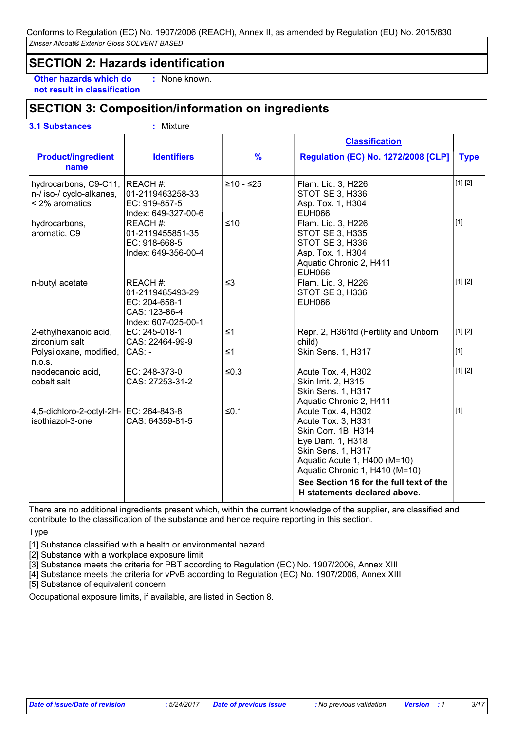### **SECTION 2: Hazards identification**

**Other hazards which do : not result in classification**

: None known.

# **SECTION 3: Composition/information on ingredients**

**3.1 Substances :** Mixture

|                                                                     |                                                                                      |               | <b>Classification</b>                                                                                                                                                                                                                                  |             |
|---------------------------------------------------------------------|--------------------------------------------------------------------------------------|---------------|--------------------------------------------------------------------------------------------------------------------------------------------------------------------------------------------------------------------------------------------------------|-------------|
| <b>Product/ingredient</b><br>name                                   | <b>Identifiers</b>                                                                   | $\frac{9}{6}$ | <b>Regulation (EC) No. 1272/2008 [CLP]</b>                                                                                                                                                                                                             | <b>Type</b> |
| hydrocarbons, C9-C11,<br>n-/ iso-/ cyclo-alkanes,<br>< 2% aromatics | REACH #:<br>01-2119463258-33<br>EC: 919-857-5<br>Index: 649-327-00-6                 | $≥10 - ≤25$   | Flam. Liq. 3, H226<br>STOT SE 3, H336<br>Asp. Tox. 1, H304<br>EUH066                                                                                                                                                                                   | [1] [2]     |
| hydrocarbons,<br>aromatic, C9                                       | REACH #:<br>01-2119455851-35<br>EC: 918-668-5<br>Index: 649-356-00-4                 | $≤10$         | Flam. Liq. 3, H226<br>STOT SE 3, H335<br>STOT SE 3, H336<br>Asp. Tox. 1, H304<br>Aquatic Chronic 2, H411<br><b>EUH066</b>                                                                                                                              | $[1]$       |
| n-butyl acetate                                                     | REACH#:<br>01-2119485493-29<br>EC: 204-658-1<br>CAS: 123-86-4<br>Index: 607-025-00-1 | $\leq$ 3      | Flam. Liq. 3, H226<br>STOT SE 3, H336<br><b>EUH066</b>                                                                                                                                                                                                 | [1] [2]     |
| 2-ethylhexanoic acid,<br>zirconium salt                             | EC: 245-018-1<br>CAS: 22464-99-9                                                     | $\leq 1$      | Repr. 2, H361fd (Fertility and Unborn<br>child)                                                                                                                                                                                                        | [1] [2]     |
| Polysiloxane, modified,<br>n.o.s.                                   | CAS: -                                                                               | $\leq 1$      | Skin Sens. 1, H317                                                                                                                                                                                                                                     | $[1]$       |
| neodecanoic acid,<br>cobalt salt                                    | EC: 248-373-0<br>CAS: 27253-31-2                                                     | $≤0.3$        | Acute Tox. 4, H302<br>Skin Irrit. 2, H315<br>Skin Sens. 1, H317<br>Aquatic Chronic 2, H411                                                                                                                                                             | [1] [2]     |
| 4,5-dichloro-2-octyl-2H- EC: 264-843-8<br>isothiazol-3-one          | CAS: 64359-81-5                                                                      | $≤0.1$        | Acute Tox. 4, H302<br>Acute Tox. 3, H331<br>Skin Corr. 1B, H314<br>Eye Dam. 1, H318<br>Skin Sens. 1, H317<br>Aquatic Acute 1, H400 (M=10)<br>Aquatic Chronic 1, H410 (M=10)<br>See Section 16 for the full text of the<br>H statements declared above. | $[1]$       |

There are no additional ingredients present which, within the current knowledge of the supplier, are classified and contribute to the classification of the substance and hence require reporting in this section.

**Type** 

[1] Substance classified with a health or environmental hazard

[2] Substance with a workplace exposure limit

[3] Substance meets the criteria for PBT according to Regulation (EC) No. 1907/2006, Annex XIII

[4] Substance meets the criteria for vPvB according to Regulation (EC) No. 1907/2006, Annex XIII

[5] Substance of equivalent concern

Occupational exposure limits, if available, are listed in Section 8.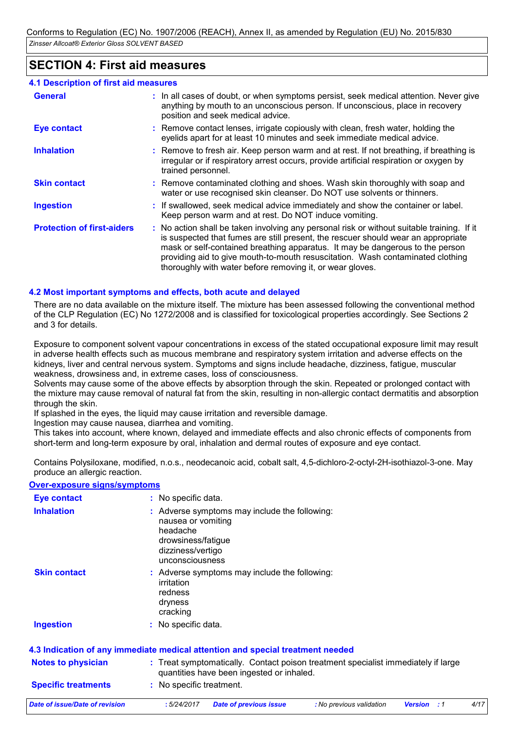### **SECTION 4: First aid measures**

#### **4.1 Description of first aid measures**

| <b>General</b>                    | : In all cases of doubt, or when symptoms persist, seek medical attention. Never give<br>anything by mouth to an unconscious person. If unconscious, place in recovery<br>position and seek medical advice.                                                                                                                                                                                                     |
|-----------------------------------|-----------------------------------------------------------------------------------------------------------------------------------------------------------------------------------------------------------------------------------------------------------------------------------------------------------------------------------------------------------------------------------------------------------------|
| Eye contact                       | : Remove contact lenses, irrigate copiously with clean, fresh water, holding the<br>eyelids apart for at least 10 minutes and seek immediate medical advice.                                                                                                                                                                                                                                                    |
| <b>Inhalation</b>                 | : Remove to fresh air. Keep person warm and at rest. If not breathing, if breathing is<br>irregular or if respiratory arrest occurs, provide artificial respiration or oxygen by<br>trained personnel.                                                                                                                                                                                                          |
| <b>Skin contact</b>               | : Remove contaminated clothing and shoes. Wash skin thoroughly with soap and<br>water or use recognised skin cleanser. Do NOT use solvents or thinners.                                                                                                                                                                                                                                                         |
| <b>Ingestion</b>                  | : If swallowed, seek medical advice immediately and show the container or label.<br>Keep person warm and at rest. Do NOT induce vomiting.                                                                                                                                                                                                                                                                       |
| <b>Protection of first-aiders</b> | : No action shall be taken involving any personal risk or without suitable training. If it<br>is suspected that fumes are still present, the rescuer should wear an appropriate<br>mask or self-contained breathing apparatus. It may be dangerous to the person<br>providing aid to give mouth-to-mouth resuscitation. Wash contaminated clothing<br>thoroughly with water before removing it, or wear gloves. |

#### **4.2 Most important symptoms and effects, both acute and delayed**

There are no data available on the mixture itself. The mixture has been assessed following the conventional method of the CLP Regulation (EC) No 1272/2008 and is classified for toxicological properties accordingly. See Sections 2 and 3 for details.

Exposure to component solvent vapour concentrations in excess of the stated occupational exposure limit may result in adverse health effects such as mucous membrane and respiratory system irritation and adverse effects on the kidneys, liver and central nervous system. Symptoms and signs include headache, dizziness, fatigue, muscular weakness, drowsiness and, in extreme cases, loss of consciousness.

Solvents may cause some of the above effects by absorption through the skin. Repeated or prolonged contact with the mixture may cause removal of natural fat from the skin, resulting in non-allergic contact dermatitis and absorption through the skin.

If splashed in the eyes, the liquid may cause irritation and reversible damage.

Ingestion may cause nausea, diarrhea and vomiting.

This takes into account, where known, delayed and immediate effects and also chronic effects of components from short-term and long-term exposure by oral, inhalation and dermal routes of exposure and eye contact.

Contains Polysiloxane, modified, n.o.s., neodecanoic acid, cobalt salt, 4,5-dichloro-2-octyl-2H-isothiazol-3-one. May produce an allergic reaction.

**Over-exposure signs/symptoms**

| Eye contact                | : No specific data.                                                                                                                           |
|----------------------------|-----------------------------------------------------------------------------------------------------------------------------------------------|
| <b>Inhalation</b>          | : Adverse symptoms may include the following:<br>nausea or vomiting<br>headache<br>drowsiness/fatigue<br>dizziness/vertigo<br>unconsciousness |
| <b>Skin contact</b>        | : Adverse symptoms may include the following:<br>irritation<br>redness<br>dryness<br>cracking                                                 |
| <b>Ingestion</b>           | : No specific data.                                                                                                                           |
|                            | 4.3 Indication of any immediate medical attention and special treatment needed                                                                |
| <b>Notes to physician</b>  | : Treat symptomatically. Contact poison treatment specialist immediately if large<br>quantities have been ingested or inhaled.                |
| <b>Specific treatments</b> | : No specific treatment.                                                                                                                      |
|                            |                                                                                                                                               |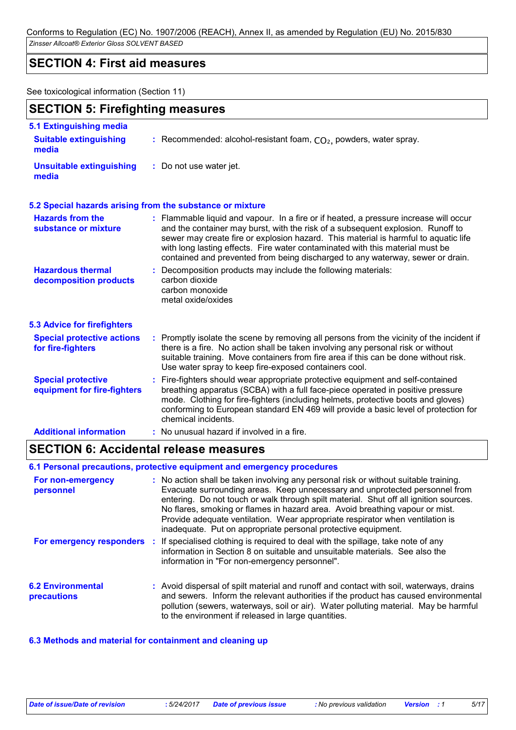### **SECTION 4: First aid measures**

See toxicological information (Section 11)

|                                                          | <b>SECTION 5: Firefighting measures</b>                                                                                                                                                                                                                                                                                                                                                                                            |  |  |
|----------------------------------------------------------|------------------------------------------------------------------------------------------------------------------------------------------------------------------------------------------------------------------------------------------------------------------------------------------------------------------------------------------------------------------------------------------------------------------------------------|--|--|
| 5.1 Extinguishing media                                  |                                                                                                                                                                                                                                                                                                                                                                                                                                    |  |  |
| <b>Suitable extinguishing</b><br>media                   | : Recommended: alcohol-resistant foam, $CO2$ , powders, water spray.                                                                                                                                                                                                                                                                                                                                                               |  |  |
| <b>Unsuitable extinguishing</b><br>media                 | : Do not use water jet.                                                                                                                                                                                                                                                                                                                                                                                                            |  |  |
|                                                          | 5.2 Special hazards arising from the substance or mixture                                                                                                                                                                                                                                                                                                                                                                          |  |  |
| <b>Hazards from the</b><br>substance or mixture          | : Flammable liquid and vapour. In a fire or if heated, a pressure increase will occur<br>and the container may burst, with the risk of a subsequent explosion. Runoff to<br>sewer may create fire or explosion hazard. This material is harmful to aquatic life<br>with long lasting effects. Fire water contaminated with this material must be<br>contained and prevented from being discharged to any waterway, sewer or drain. |  |  |
| <b>Hazardous thermal</b><br>decomposition products       | Decomposition products may include the following materials:<br>÷.<br>carbon dioxide<br>carbon monoxide<br>metal oxide/oxides                                                                                                                                                                                                                                                                                                       |  |  |
| <b>5.3 Advice for firefighters</b>                       |                                                                                                                                                                                                                                                                                                                                                                                                                                    |  |  |
| <b>Special protective actions</b><br>for fire-fighters   | : Promptly isolate the scene by removing all persons from the vicinity of the incident if<br>there is a fire. No action shall be taken involving any personal risk or without<br>suitable training. Move containers from fire area if this can be done without risk.<br>Use water spray to keep fire-exposed containers cool.                                                                                                      |  |  |
| <b>Special protective</b><br>equipment for fire-fighters | : Fire-fighters should wear appropriate protective equipment and self-contained<br>breathing apparatus (SCBA) with a full face-piece operated in positive pressure<br>mode. Clothing for fire-fighters (including helmets, protective boots and gloves)<br>conforming to European standard EN 469 will provide a basic level of protection for<br>chemical incidents.                                                              |  |  |
| <b>Additional information</b>                            | : No unusual hazard if involved in a fire.                                                                                                                                                                                                                                                                                                                                                                                         |  |  |

### **SECTION 6: Accidental release measures**

#### **6.1 Personal precautions, protective equipment and emergency procedures**

| For non-emergency<br>personnel          | : No action shall be taken involving any personal risk or without suitable training.<br>Evacuate surrounding areas. Keep unnecessary and unprotected personnel from<br>entering. Do not touch or walk through spilt material. Shut off all ignition sources.<br>No flares, smoking or flames in hazard area. Avoid breathing vapour or mist.<br>Provide adequate ventilation. Wear appropriate respirator when ventilation is<br>inadequate. Put on appropriate personal protective equipment. |
|-----------------------------------------|------------------------------------------------------------------------------------------------------------------------------------------------------------------------------------------------------------------------------------------------------------------------------------------------------------------------------------------------------------------------------------------------------------------------------------------------------------------------------------------------|
|                                         | For emergency responders : If specialised clothing is required to deal with the spillage, take note of any<br>information in Section 8 on suitable and unsuitable materials. See also the<br>information in "For non-emergency personnel".                                                                                                                                                                                                                                                     |
| <b>6.2 Environmental</b><br>precautions | : Avoid dispersal of spilt material and runoff and contact with soil, waterways, drains<br>and sewers. Inform the relevant authorities if the product has caused environmental<br>pollution (sewers, waterways, soil or air). Water polluting material. May be harmful<br>to the environment if released in large quantities.                                                                                                                                                                  |

#### **6.3 Methods and material for containment and cleaning up**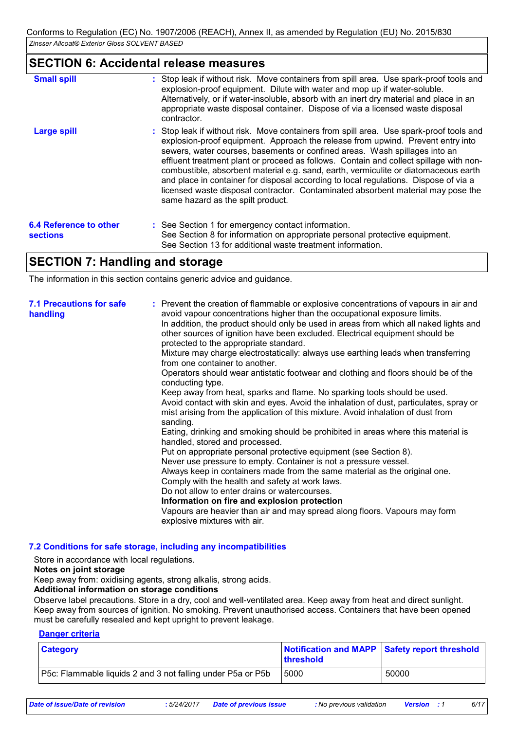### **SECTION 6: Accidental release measures**

| <b>Small spill</b>                        | : Stop leak if without risk. Move containers from spill area. Use spark-proof tools and<br>explosion-proof equipment. Dilute with water and mop up if water-soluble.<br>Alternatively, or if water-insoluble, absorb with an inert dry material and place in an<br>appropriate waste disposal container. Dispose of via a licensed waste disposal<br>contractor.                                                                                                                                                                                                                                                                                           |
|-------------------------------------------|------------------------------------------------------------------------------------------------------------------------------------------------------------------------------------------------------------------------------------------------------------------------------------------------------------------------------------------------------------------------------------------------------------------------------------------------------------------------------------------------------------------------------------------------------------------------------------------------------------------------------------------------------------|
| <b>Large spill</b>                        | : Stop leak if without risk. Move containers from spill area. Use spark-proof tools and<br>explosion-proof equipment. Approach the release from upwind. Prevent entry into<br>sewers, water courses, basements or confined areas. Wash spillages into an<br>effluent treatment plant or proceed as follows. Contain and collect spillage with non-<br>combustible, absorbent material e.g. sand, earth, vermiculite or diatomaceous earth<br>and place in container for disposal according to local regulations. Dispose of via a<br>licensed waste disposal contractor. Contaminated absorbent material may pose the<br>same hazard as the spilt product. |
| <b>6.4 Reference to other</b><br>sections | : See Section 1 for emergency contact information.<br>See Section 8 for information on appropriate personal protective equipment.<br>See Section 13 for additional waste treatment information.                                                                                                                                                                                                                                                                                                                                                                                                                                                            |

# **SECTION 7: Handling and storage**

The information in this section contains generic advice and guidance.

| <b>7.1 Precautions for safe</b><br>handling | : Prevent the creation of flammable or explosive concentrations of vapours in air and<br>avoid vapour concentrations higher than the occupational exposure limits.<br>In addition, the product should only be used in areas from which all naked lights and<br>other sources of ignition have been excluded. Electrical equipment should be<br>protected to the appropriate standard.<br>Mixture may charge electrostatically: always use earthing leads when transferring<br>from one container to another.<br>Operators should wear antistatic footwear and clothing and floors should be of the<br>conducting type.<br>Keep away from heat, sparks and flame. No sparking tools should be used.<br>Avoid contact with skin and eyes. Avoid the inhalation of dust, particulates, spray or<br>mist arising from the application of this mixture. Avoid inhalation of dust from<br>sanding.<br>Eating, drinking and smoking should be prohibited in areas where this material is<br>handled, stored and processed.<br>Put on appropriate personal protective equipment (see Section 8).<br>Never use pressure to empty. Container is not a pressure vessel.<br>Always keep in containers made from the same material as the original one.<br>Comply with the health and safety at work laws.<br>Do not allow to enter drains or watercourses.<br>Information on fire and explosion protection<br>Vapours are heavier than air and may spread along floors. Vapours may form |
|---------------------------------------------|------------------------------------------------------------------------------------------------------------------------------------------------------------------------------------------------------------------------------------------------------------------------------------------------------------------------------------------------------------------------------------------------------------------------------------------------------------------------------------------------------------------------------------------------------------------------------------------------------------------------------------------------------------------------------------------------------------------------------------------------------------------------------------------------------------------------------------------------------------------------------------------------------------------------------------------------------------------------------------------------------------------------------------------------------------------------------------------------------------------------------------------------------------------------------------------------------------------------------------------------------------------------------------------------------------------------------------------------------------------------------------------------------------------------------------------------------------------------------|
|                                             | explosive mixtures with air.                                                                                                                                                                                                                                                                                                                                                                                                                                                                                                                                                                                                                                                                                                                                                                                                                                                                                                                                                                                                                                                                                                                                                                                                                                                                                                                                                                                                                                                 |

#### **7.2 Conditions for safe storage, including any incompatibilities**

Store in accordance with local regulations.

#### **Notes on joint storage**

Keep away from: oxidising agents, strong alkalis, strong acids.

#### **Additional information on storage conditions**

Observe label precautions. Store in a dry, cool and well-ventilated area. Keep away from heat and direct sunlight. Keep away from sources of ignition. No smoking. Prevent unauthorised access. Containers that have been opened must be carefully resealed and kept upright to prevent leakage.

#### **Danger criteria**

| <b>Category</b>                                             | Notification and MAPP Safety report threshold<br>threshold |       |
|-------------------------------------------------------------|------------------------------------------------------------|-------|
| P5c: Flammable liquids 2 and 3 not falling under P5a or P5b | 5000                                                       | 50000 |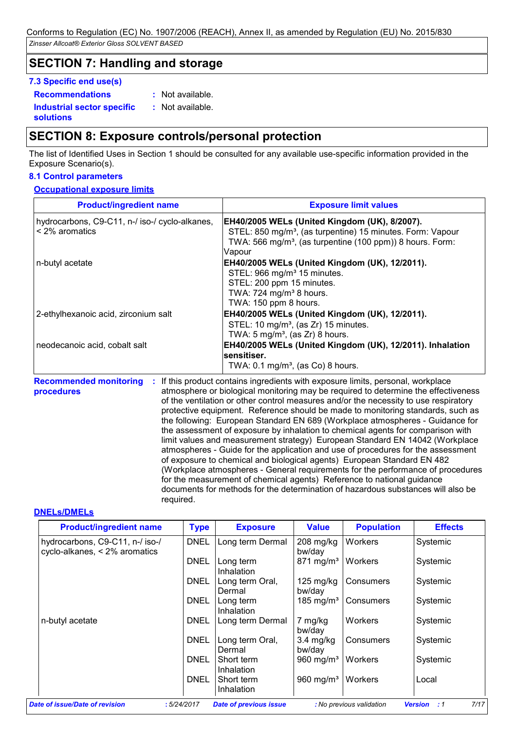# **SECTION 7: Handling and storage**

#### **7.3 Specific end use(s)**

**Recommendations :**

: Not available.

**Industrial sector specific : solutions** : Not available.

# **SECTION 8: Exposure controls/personal protection**

The list of Identified Uses in Section 1 should be consulted for any available use-specific information provided in the Exposure Scenario(s).

### **8.1 Control parameters**

#### **Occupational exposure limits**

| <b>Product/ingredient name</b>                                        | <b>Exposure limit values</b>                                                                                                                                                                               |
|-----------------------------------------------------------------------|------------------------------------------------------------------------------------------------------------------------------------------------------------------------------------------------------------|
| hydrocarbons, C9-C11, n-/ iso-/ cyclo-alkanes,<br>$\leq$ 2% aromatics | EH40/2005 WELs (United Kingdom (UK), 8/2007).<br>STEL: 850 mg/m <sup>3</sup> , (as turpentine) 15 minutes. Form: Vapour<br>TWA: 566 mg/m <sup>3</sup> , (as turpentine (100 ppm)) 8 hours. Form:<br>Vapour |
| n-butyl acetate                                                       | EH40/2005 WELs (United Kingdom (UK), 12/2011).<br>STEL: 966 mg/m <sup>3</sup> 15 minutes.<br>STEL: 200 ppm 15 minutes.<br>TWA: 724 mg/m <sup>3</sup> 8 hours.<br>TWA: 150 ppm 8 hours.                     |
| 2-ethylhexanoic acid, zirconium salt                                  | EH40/2005 WELs (United Kingdom (UK), 12/2011).<br>STEL: 10 mg/m <sup>3</sup> , (as Zr) 15 minutes.<br>TWA: $5 \text{ mg/m}^3$ , (as Zr) 8 hours.                                                           |
| neodecanoic acid, cobalt salt                                         | EH40/2005 WELs (United Kingdom (UK), 12/2011). Inhalation<br>sensitiser.<br>TWA: $0.1 \text{ mg/m}^3$ , (as Co) 8 hours.                                                                                   |

**Recommended monitoring procedures :** If this product contains ingredients with exposure limits, personal, workplace atmosphere or biological monitoring may be required to determine the effectiveness of the ventilation or other control measures and/or the necessity to use respiratory protective equipment. Reference should be made to monitoring standards, such as the following: European Standard EN 689 (Workplace atmospheres - Guidance for the assessment of exposure by inhalation to chemical agents for comparison with limit values and measurement strategy) European Standard EN 14042 (Workplace atmospheres - Guide for the application and use of procedures for the assessment of exposure to chemical and biological agents) European Standard EN 482 (Workplace atmospheres - General requirements for the performance of procedures for the measurement of chemical agents) Reference to national guidance documents for methods for the determination of hazardous substances will also be required.

#### **DNELs/DMELs**

| <b>Product/ingredient name</b>                                   | <b>Type</b> | <b>Exposure</b>                 | <b>Value</b>                  | <b>Population</b> | <b>Effects</b> |
|------------------------------------------------------------------|-------------|---------------------------------|-------------------------------|-------------------|----------------|
| hydrocarbons, C9-C11, n-/ iso-/<br>cyclo-alkanes, < 2% aromatics | <b>DNEL</b> | Long term Dermal                | $208$ mg/kg<br>bw/day         | Workers           | Systemic       |
|                                                                  | <b>DNEL</b> | Long term<br>Inhalation         | $871 \text{ mg/m}^3$          | Workers           | Systemic       |
|                                                                  | DNEL        | Long term Oral,<br>Dermal       | $125 \text{ mg/kg}$<br>bw/day | Consumers         | Systemic       |
|                                                                  | DNEL        | Long term<br><b>Inhalation</b>  | 185 mg/m <sup>3</sup>         | Consumers         | Systemic       |
| n-butyl acetate                                                  | DNEL        | Long term Dermal                | 7 mg/kg<br>bw/day             | Workers           | Systemic       |
|                                                                  | DNEL        | Long term Oral,<br>Dermal       | $3.4$ mg/kg<br>bw/day         | Consumers         | Systemic       |
|                                                                  | DNEL        | Short term<br>Inhalation        | 960 mg/m <sup>3</sup>         | Workers           | Systemic       |
|                                                                  | DNEL        | Short term<br><b>Inhalation</b> | 960 mg/m <sup>3</sup>         | l Workers         | Local          |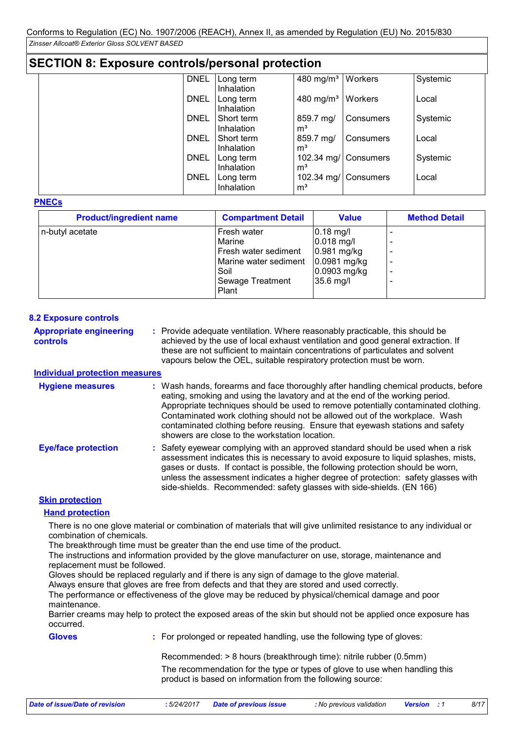| <b>SECTION 8: Exposure controls/personal protection</b> |  |                          |                             |                      |          |  |  |
|---------------------------------------------------------|--|--------------------------|-----------------------------|----------------------|----------|--|--|
| <b>DNEL</b>                                             |  | Long term<br>Inhalation  | 480 mg/ $m3$                | Workers              | Systemic |  |  |
| <b>DNEL</b>                                             |  | Long term<br>Inhalation  | $480$ mg/m <sup>3</sup>     | Workers              | Local    |  |  |
| <b>DNEL</b>                                             |  | Short term<br>Inhalation | 859.7 mg/<br>m <sup>3</sup> | Consumers            | Systemic |  |  |
| <b>DNEL</b>                                             |  | Short term<br>Inhalation | 859.7 mg/<br>m <sup>3</sup> | Consumers            | Local    |  |  |
| <b>DNEL</b>                                             |  | Long term<br>Inhalation  | m <sup>3</sup>              | 102.34 mg/ Consumers | Systemic |  |  |
| <b>DNEL</b>                                             |  | Long term<br>Inhalation  | m <sup>3</sup>              | 102.34 mg/ Consumers | Local    |  |  |

#### **PNECs**

| <b>Product/ingredient name</b> | <b>Compartment Detail</b>                                                                                   | <b>Value</b>                                                                            | <b>Method Detail</b> |
|--------------------------------|-------------------------------------------------------------------------------------------------------------|-----------------------------------------------------------------------------------------|----------------------|
| n-butyl acetate                | Fresh water<br>Marine<br>Fresh water sediment<br>Marine water sediment<br>Soil<br>Sewage Treatment<br>Plant | $0.18$ mg/l<br>$0.018$ mg/l<br>0.981 mg/kg<br>0.0981 mg/kg<br>0.0903 mg/kg<br>35.6 mg/l |                      |

#### **8.2 Exposure controls**

Provide adequate ventilation. Where reasonably practicable, this should be **:** achieved by the use of local exhaust ventilation and good general extraction. If these are not sufficient to maintain concentrations of particulates and solvent vapours below the OEL, suitable respiratory protection must be worn. **Appropriate engineering controls**

#### **Individual protection measures**

| <b>Hygiene measures</b>    | : Wash hands, forearms and face thoroughly after handling chemical products, before<br>eating, smoking and using the lavatory and at the end of the working period.<br>Appropriate techniques should be used to remove potentially contaminated clothing.<br>Contaminated work clothing should not be allowed out of the workplace. Wash<br>contaminated clothing before reusing. Ensure that eyewash stations and safety<br>showers are close to the workstation location. |
|----------------------------|-----------------------------------------------------------------------------------------------------------------------------------------------------------------------------------------------------------------------------------------------------------------------------------------------------------------------------------------------------------------------------------------------------------------------------------------------------------------------------|
| <b>Eye/face protection</b> | : Safety eyewear complying with an approved standard should be used when a risk<br>assessment indicates this is necessary to avoid exposure to liquid splashes, mists,<br>gases or dusts. If contact is possible, the following protection should be worn,<br>unless the assessment indicates a higher degree of protection: safety glasses with<br>side-shields. Recommended: safety glasses with side-shields. (EN 166)                                                   |

#### **Skin protection**

#### **Hand protection**

There is no one glove material or combination of materials that will give unlimited resistance to any individual or combination of chemicals.

The breakthrough time must be greater than the end use time of the product.

The instructions and information provided by the glove manufacturer on use, storage, maintenance and replacement must be followed.

Gloves should be replaced regularly and if there is any sign of damage to the glove material.

Always ensure that gloves are free from defects and that they are stored and used correctly.

The performance or effectiveness of the glove may be reduced by physical/chemical damage and poor maintenance.

Barrier creams may help to protect the exposed areas of the skin but should not be applied once exposure has occurred.

#### **Gloves**

**:** For prolonged or repeated handling, use the following type of gloves:

Recommended: > 8 hours (breakthrough time): nitrile rubber (0.5mm)

The recommendation for the type or types of glove to use when handling this product is based on information from the following source: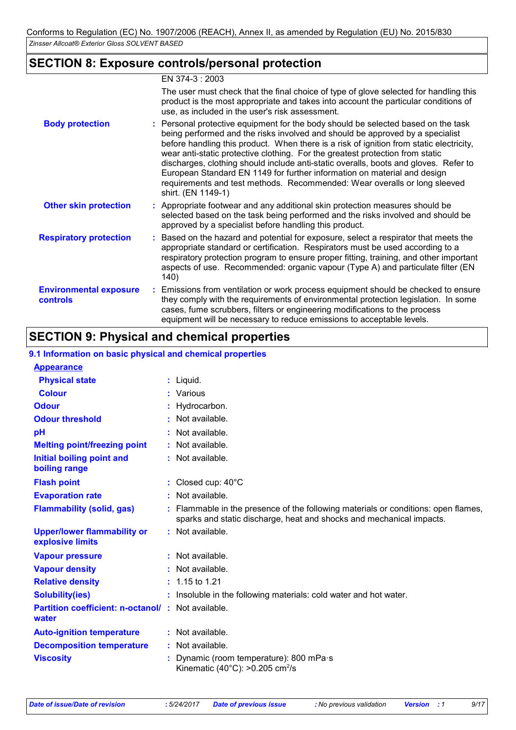### **SECTION 8: Exposure controls/personal protection**

### EN 374-3 : 2003

|                                                  | The user must check that the final choice of type of glove selected for handling this<br>product is the most appropriate and takes into account the particular conditions of<br>use, as included in the user's risk assessment.                                                                                                                                                                                                                                                                                                                                                                                       |
|--------------------------------------------------|-----------------------------------------------------------------------------------------------------------------------------------------------------------------------------------------------------------------------------------------------------------------------------------------------------------------------------------------------------------------------------------------------------------------------------------------------------------------------------------------------------------------------------------------------------------------------------------------------------------------------|
| <b>Body protection</b>                           | : Personal protective equipment for the body should be selected based on the task<br>being performed and the risks involved and should be approved by a specialist<br>before handling this product. When there is a risk of ignition from static electricity,<br>wear anti-static protective clothing. For the greatest protection from static<br>discharges, clothing should include anti-static overalls, boots and gloves. Refer to<br>European Standard EN 1149 for further information on material and design<br>requirements and test methods. Recommended: Wear overalls or long sleeved<br>shirt. (EN 1149-1) |
| <b>Other skin protection</b>                     | : Appropriate footwear and any additional skin protection measures should be<br>selected based on the task being performed and the risks involved and should be<br>approved by a specialist before handling this product.                                                                                                                                                                                                                                                                                                                                                                                             |
| <b>Respiratory protection</b>                    | : Based on the hazard and potential for exposure, select a respirator that meets the<br>appropriate standard or certification. Respirators must be used according to a<br>respiratory protection program to ensure proper fitting, training, and other important<br>aspects of use. Recommended: organic vapour (Type A) and particulate filter (EN<br>140)                                                                                                                                                                                                                                                           |
| <b>Environmental exposure</b><br><b>controls</b> | : Emissions from ventilation or work process equipment should be checked to ensure<br>they comply with the requirements of environmental protection legislation. In some<br>cases, fume scrubbers, filters or engineering modifications to the process<br>equipment will be necessary to reduce emissions to acceptable levels.                                                                                                                                                                                                                                                                                       |

# **SECTION 9: Physical and chemical properties**

#### **9.1 Information on basic physical and chemical properties**

| <b>Appearance</b>                                                 |                                                                                                                                                            |
|-------------------------------------------------------------------|------------------------------------------------------------------------------------------------------------------------------------------------------------|
| <b>Physical state</b>                                             | $:$ Liquid.                                                                                                                                                |
| <b>Colour</b>                                                     | : Various                                                                                                                                                  |
| <b>Odour</b>                                                      | : Hydrocarbon.                                                                                                                                             |
| <b>Odour threshold</b>                                            | $:$ Not available.                                                                                                                                         |
| pH                                                                | : Not available.                                                                                                                                           |
| <b>Melting point/freezing point</b>                               | : Not available.                                                                                                                                           |
| <b>Initial boiling point and</b><br>boiling range                 | : Not available.                                                                                                                                           |
| <b>Flash point</b>                                                | : Closed cup: $40^{\circ}$ C                                                                                                                               |
| <b>Evaporation rate</b>                                           | : Not available.                                                                                                                                           |
| <b>Flammability (solid, gas)</b>                                  | : Flammable in the presence of the following materials or conditions: open flames,<br>sparks and static discharge, heat and shocks and mechanical impacts. |
| <b>Upper/lower flammability or</b><br>explosive limits            | : Not available.                                                                                                                                           |
| <b>Vapour pressure</b>                                            | : Not available.                                                                                                                                           |
| <b>Vapour density</b>                                             | : Not available.                                                                                                                                           |
| <b>Relative density</b>                                           | $: 1.15$ to 1.21                                                                                                                                           |
| <b>Solubility(ies)</b>                                            | : Insoluble in the following materials: cold water and hot water.                                                                                          |
| <b>Partition coefficient: n-octanol/: Not available.</b><br>water |                                                                                                                                                            |
| <b>Auto-ignition temperature</b>                                  | : Not available.                                                                                                                                           |
| <b>Decomposition temperature</b>                                  | : Not available.                                                                                                                                           |
| <b>Viscosity</b>                                                  | Dynamic (room temperature): 800 mPa·s<br>Kinematic (40 $^{\circ}$ C): >0.205 cm <sup>2</sup> /s                                                            |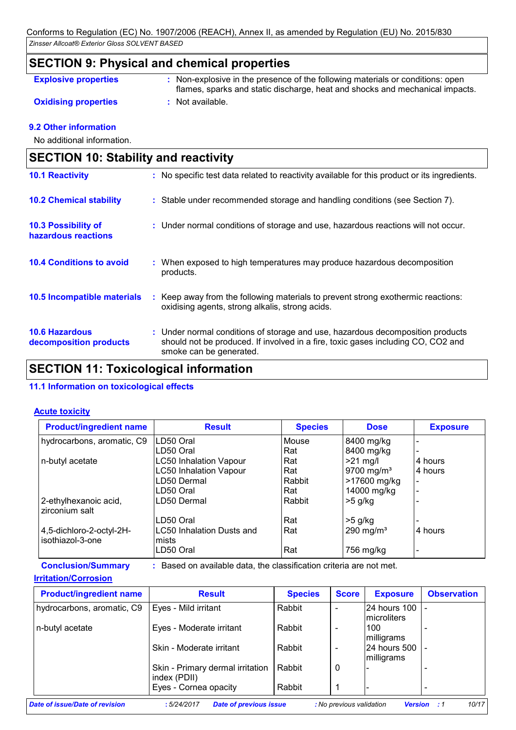### **SECTION 9: Physical and chemical properties**

#### **Explosive properties :**

: Non-explosive in the presence of the following materials or conditions: open flames, sparks and static discharge, heat and shocks and mechanical impacts.

**Oxidising properties : Not available.** 

#### **9.2 Other information**

No additional information.

| <b>SECTION 10: Stability and reactivity</b>       |                                                                                                                                                                                               |
|---------------------------------------------------|-----------------------------------------------------------------------------------------------------------------------------------------------------------------------------------------------|
| <b>10.1 Reactivity</b>                            | : No specific test data related to reactivity available for this product or its ingredients.                                                                                                  |
| <b>10.2 Chemical stability</b>                    | : Stable under recommended storage and handling conditions (see Section 7).                                                                                                                   |
| <b>10.3 Possibility of</b><br>hazardous reactions | : Under normal conditions of storage and use, hazardous reactions will not occur.                                                                                                             |
| <b>10.4 Conditions to avoid</b>                   | : When exposed to high temperatures may produce hazardous decomposition<br>products.                                                                                                          |
| <b>10.5 Incompatible materials</b>                | Keep away from the following materials to prevent strong exothermic reactions:<br>oxidising agents, strong alkalis, strong acids.                                                             |
| <b>10.6 Hazardous</b><br>decomposition products   | : Under normal conditions of storage and use, hazardous decomposition products<br>should not be produced. If involved in a fire, toxic gases including CO, CO2 and<br>smoke can be generated. |
|                                                   | .                                                                                                                                                                                             |

### **SECTION 11: Toxicological information**

#### **11.1 Information on toxicological effects**

#### **Acute toxicity**

| <b>Product/ingredient name</b>           | <b>Result</b>                 | <b>Species</b> | <b>Dose</b>            | <b>Exposure</b> |
|------------------------------------------|-------------------------------|----------------|------------------------|-----------------|
| hydrocarbons, aromatic, C9               | LD50 Oral                     | Mouse          | 8400 mg/kg             |                 |
|                                          | LD50 Oral                     | Rat            | 8400 mg/kg             |                 |
| n-butyl acetate                          | <b>LC50 Inhalation Vapour</b> | Rat            | $>21$ mg/l             | 4 hours         |
|                                          | <b>LC50 Inhalation Vapour</b> | Rat            | 9700 mg/m <sup>3</sup> | 4 hours         |
|                                          | LD50 Dermal                   | Rabbit         | >17600 mg/kg           |                 |
|                                          | LD50 Oral                     | Rat            | 14000 mg/kg            |                 |
| 2-ethylhexanoic acid,<br>Izirconium salt | LD50 Dermal                   | Rabbit         | $>5$ g/kg              |                 |
|                                          | LD50 Oral                     | Rat            | $>5$ g/kg              |                 |
| 4,5-dichloro-2-octyl-2H-                 | LC50 Inhalation Dusts and     | Rat            | 290 mg/m <sup>3</sup>  | 4 hours         |
| l isothiazol-3-one                       | mists                         |                |                        |                 |
|                                          | LD50 Oral                     | Rat            | 756 mg/kg              |                 |

**Conclusion/Summary :** Based on available data, the classification criteria are not met.

#### **Irritation/Corrosion**

| <b>Result</b>                                    | <b>Species</b> | <b>Score</b> | <b>Exposure</b> | <b>Observation</b>                                       |
|--------------------------------------------------|----------------|--------------|-----------------|----------------------------------------------------------|
| Eyes - Mild irritant                             | Rabbit         |              | microliters     |                                                          |
| Eyes - Moderate irritant                         | Rabbit         |              | 100             |                                                          |
| Skin - Moderate irritant                         | Rabbit         |              |                 |                                                          |
| Skin - Primary dermal irritation<br>index (PDII) | Rabbit         | 0            |                 |                                                          |
| Eyes - Cornea opacity                            | Rabbit         |              |                 |                                                          |
|                                                  |                |              |                 | 24 hours 100<br>milligrams<br>24 hours 500<br>milligrams |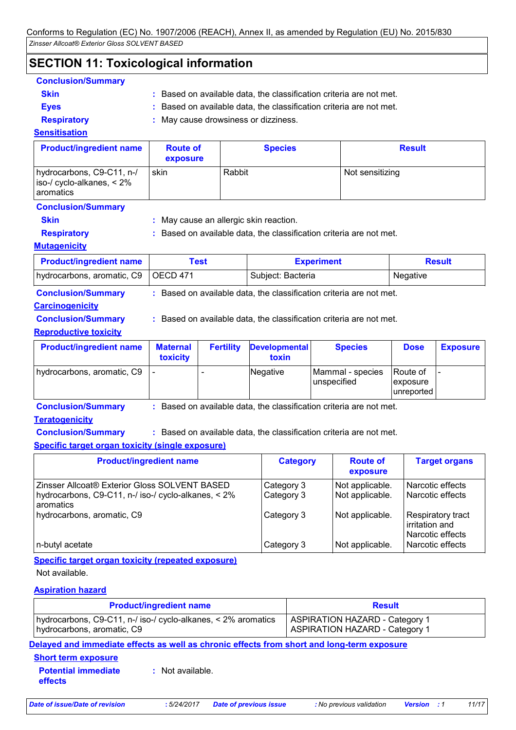# **SECTION 11: Toxicological information**

| <b>Conclusion/Summary</b> |                                                                     |
|---------------------------|---------------------------------------------------------------------|
| <b>Skin</b>               | : Based on available data, the classification criteria are not met. |
| <b>Eves</b>               | : Based on available data, the classification criteria are not met. |
| <b>Desimated</b>          | . Mau sausa droughassa sa di--insee                                 |

**Respiratory :** May cause drowsiness or dizziness.

#### **Sensitisation**

| <b>Product/ingredient name</b>                                        | <b>Route of</b><br>exposure | <b>Species</b> | <b>Result</b>   |
|-----------------------------------------------------------------------|-----------------------------|----------------|-----------------|
| hydrocarbons, C9-C11, n-/<br>iso-/ cyclo-alkanes, < 2%<br>l aromatics | skin                        | Rabbit         | Not sensitizing |

#### **Conclusion/Summary**

**Skin :** May cause an allergic skin reaction.

**Respiratory :** Based on available data, the classification criteria are not met.

#### **Mutagenicity**

| <b>Product/ingredient name</b>        | Test | <b>Experiment</b> | <b>Result</b> |
|---------------------------------------|------|-------------------|---------------|
| hydrocarbons, aromatic, C9   OECD 471 |      | Subject: Bacteria | Negative      |

**Conclusion/Summary :** Based on available data, the classification criteria are not met.

### **Carcinogenicity**

**Conclusion/Summary :** Based on available data, the classification criteria are not met.

#### **Reproductive toxicity**

| <b>Product/ingredient name</b> | <b>Maternal</b><br>toxicity | <b>Fertility</b> | <b>Developmental</b><br>toxin | <b>Species</b>                  | <b>Dose</b>                         | <b>Exposure</b> |
|--------------------------------|-----------------------------|------------------|-------------------------------|---------------------------------|-------------------------------------|-----------------|
| hydrocarbons, aromatic, C9     |                             |                  | Negative                      | Mammal - species<br>unspecified | Route of<br>exposure<br>lunreported |                 |

**Conclusion/Summary :** Based on available data, the classification criteria are not met.

### **Teratogenicity**

**Conclusion/Summary :** Based on available data, the classification criteria are not met.

### **Specific target organ toxicity (single exposure)**

| <b>Category</b> | <b>Route of</b><br>exposure | <b>Target organs</b>                                     |
|-----------------|-----------------------------|----------------------------------------------------------|
| Category 3      | Not applicable.             | l Narcotic effects                                       |
| Category 3      | Not applicable.             | Narcotic effects                                         |
| Category 3      | Not applicable.             | Respiratory tract<br>lirritation and<br>Narcotic effects |
| Category 3      | Not applicable.             | l Narcotic effects                                       |
|                 |                             |                                                          |

#### **Specific target organ toxicity (repeated exposure)**

Not available.

### **Aspiration hazard**

| <b>Product/ingredient name</b>                                                              | <b>Result</b>                                                                  |  |
|---------------------------------------------------------------------------------------------|--------------------------------------------------------------------------------|--|
| hydrocarbons, C9-C11, n-/ iso-/ cyclo-alkanes, < 2% aromatics<br>hydrocarbons, aromatic, C9 | <b>ASPIRATION HAZARD - Category 1</b><br><b>ASPIRATION HAZARD - Category 1</b> |  |
| .                                                                                           |                                                                                |  |

**Delayed and immediate effects as well as chronic effects from short and long-term exposure**

#### **Short term exposure**

**Potential immediate effects :** Not available.

*Date of issue/Date of revision* **:** *5/24/2017 Date of previous issue : No previous validation Version : 1 11/17*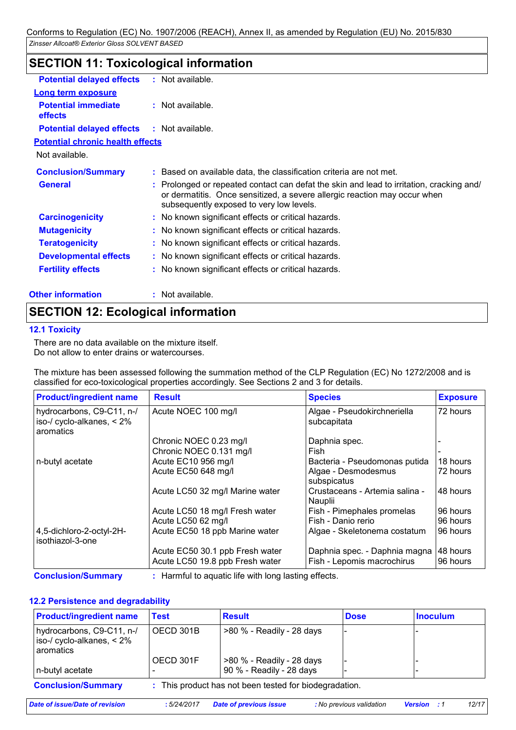| <b>Potential delayed effects</b>             | : Not available.                                                                                                                                                                                                  |
|----------------------------------------------|-------------------------------------------------------------------------------------------------------------------------------------------------------------------------------------------------------------------|
| <b>Long term exposure</b>                    |                                                                                                                                                                                                                   |
| <b>Potential immediate</b><br><b>effects</b> | $:$ Not available.                                                                                                                                                                                                |
| <b>Potential delayed effects</b>             | : Not available.                                                                                                                                                                                                  |
| <b>Potential chronic health effects</b>      |                                                                                                                                                                                                                   |
| Not available.                               |                                                                                                                                                                                                                   |
| <b>Conclusion/Summary</b>                    | : Based on available data, the classification criteria are not met.                                                                                                                                               |
| <b>General</b>                               | : Prolonged or repeated contact can defat the skin and lead to irritation, cracking and/<br>or dermatitis. Once sensitized, a severe allergic reaction may occur when<br>subsequently exposed to very low levels. |
| <b>Carcinogenicity</b>                       | : No known significant effects or critical hazards.                                                                                                                                                               |
| <b>Mutagenicity</b>                          | : No known significant effects or critical hazards.                                                                                                                                                               |
| <b>Teratogenicity</b>                        | : No known significant effects or critical hazards.                                                                                                                                                               |
| <b>Developmental effects</b>                 | : No known significant effects or critical hazards.                                                                                                                                                               |
| <b>Fertility effects</b>                     | : No known significant effects or critical hazards.                                                                                                                                                               |
| <b>Other information</b>                     | $:$ Not available.                                                                                                                                                                                                |

# **SECTION 11: Toxicological information**

# **SECTION 12: Ecological information**

#### **12.1 Toxicity**

There are no data available on the mixture itself. Do not allow to enter drains or watercourses.

The mixture has been assessed following the summation method of the CLP Regulation (EC) No 1272/2008 and is classified for eco-toxicological properties accordingly. See Sections 2 and 3 for details.

| <b>Product/ingredient name</b>                                         | <b>Result</b>                   | <b>Species</b>                             | <b>Exposure</b> |
|------------------------------------------------------------------------|---------------------------------|--------------------------------------------|-----------------|
| hydrocarbons, C9-C11, n-/<br>iso-/ cyclo-alkanes, $< 2\%$<br>aromatics | Acute NOEC 100 mg/l             | Algae - Pseudokirchneriella<br>subcapitata | 72 hours        |
|                                                                        | Chronic NOEC 0.23 mg/l          | Daphnia spec.                              |                 |
|                                                                        | Chronic NOEC 0.131 mg/l         | Fish                                       |                 |
| n-butyl acetate                                                        | Acute EC10 956 mg/l             | Bacteria - Pseudomonas putida              | 18 hours        |
|                                                                        | Acute EC50 648 mg/l             | Algae - Desmodesmus<br>subspicatus         | 72 hours        |
|                                                                        | Acute LC50 32 mg/l Marine water | Crustaceans - Artemia salina -<br>Nauplii  | 48 hours        |
|                                                                        | Acute LC50 18 mg/l Fresh water  | Fish - Pimephales promelas                 | 196 hours       |
|                                                                        | Acute LC50 62 mg/l              | Fish - Danio rerio                         | 96 hours        |
| 4,5-dichloro-2-octyl-2H-<br>isothiazol-3-one                           | Acute EC50 18 ppb Marine water  | Algae - Skeletonema costatum               | 96 hours        |
|                                                                        | Acute EC50 30.1 ppb Fresh water | Daphnia spec. - Daphnia magna              | 48 hours        |
|                                                                        | Acute LC50 19.8 ppb Fresh water | Fish - Lepomis macrochirus                 | 196 hours       |

**Conclusion/Summary :** Harmful to aquatic life with long lasting effects.

#### **12.2 Persistence and degradability**

| <b>Product/ingredient name</b>                                                | Test                                                   | <b>Result</b>                                         | <b>Dose</b> | <b>Inoculum</b> |
|-------------------------------------------------------------------------------|--------------------------------------------------------|-------------------------------------------------------|-------------|-----------------|
| hydrocarbons, C9-C11, n-/<br>iso-/ cyclo-alkanes, $< 2\%$<br><b>aromatics</b> | OECD 301B                                              | >80 % - Readily - 28 days                             |             |                 |
| n-butyl acetate                                                               | OECD 301F                                              | >80 % - Readily - 28 days<br>90 % - Readily - 28 days |             |                 |
| <b>Conclusion/Summary</b>                                                     | : This product has not been tested for biodegradation. |                                                       |             |                 |

*Date of issue/Date of revision* **:** *5/24/2017 Date of previous issue : No previous validation Version : 1 12/17*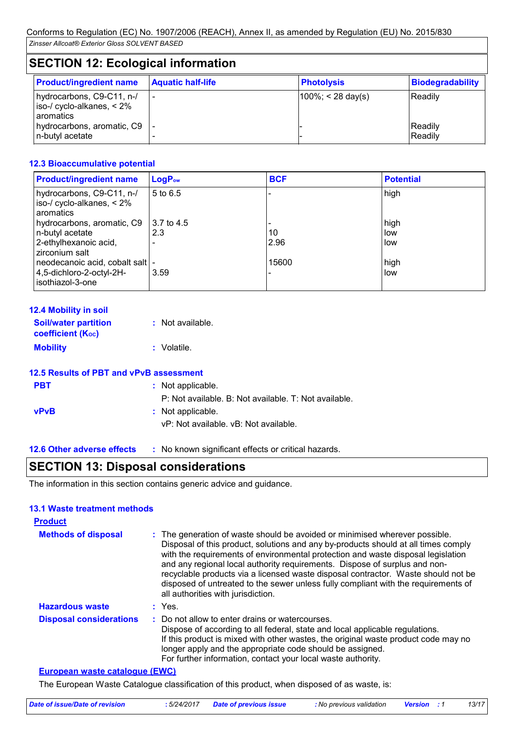# **SECTION 12: Ecological information**

| <b>Product/ingredient name</b>                                       | <b>Aquatic half-life</b> | <b>Photolysis</b>     | Biodegradability |
|----------------------------------------------------------------------|--------------------------|-----------------------|------------------|
| hydrocarbons, C9-C11, n-/<br>$\vert$ iso-/ cyclo-alkanes, $\leq 2\%$ |                          | $ 100\%  < 28$ day(s) | Readily          |
| l aromatics                                                          |                          |                       |                  |
| hydrocarbons, aromatic, C9  -                                        |                          |                       | Readily          |
| n-butyl acetate                                                      |                          |                       | Readily          |

#### **12.3 Bioaccumulative potential**

| <b>Product/ingredient name</b>                                         | LogP <sub>ow</sub> | <b>BCF</b> | <b>Potential</b> |
|------------------------------------------------------------------------|--------------------|------------|------------------|
| hydrocarbons, C9-C11, n-/<br>iso-/ cyclo-alkanes, $< 2\%$<br>aromatics | 5 to 6.5           |            | high             |
| hydrocarbons, aromatic, C9                                             | 3.7 to 4.5         |            | high             |
| n-butyl acetate                                                        | 2.3                | 10         | low              |
| 2-ethylhexanoic acid,<br>zirconium salt                                |                    | 2.96       | low              |
| neodecanoic acid, cobalt salt  -                                       |                    | 15600      | high             |
| 4,5-dichloro-2-octyl-2H-<br>isothiazol-3-one                           | 3.59               |            | low              |

| <b>12.4 Mobility in soil</b>                            |                  |
|---------------------------------------------------------|------------------|
| <b>Soil/water partition</b><br><b>coefficient (Koc)</b> | : Not available. |
| <b>Mobility</b>                                         | : Volatile.      |

|             | 12.5 Results of PBT and vPvB assessment               |
|-------------|-------------------------------------------------------|
| <b>PBT</b>  | : Not applicable.                                     |
|             | P: Not available. B: Not available. T: Not available. |
| <b>vPvB</b> | : Not applicable.                                     |

- vP: Not available. vB: Not available.
- **12.6 Other adverse effects** : No known significant effects or critical hazards.

# **SECTION 13: Disposal considerations**

The information in this section contains generic advice and guidance.

#### **13.1 Waste treatment methods**

| <b>Product</b>                    |                                                                                                                                                                                                                                                                                                                                                                                                                                                                                                                                                      |
|-----------------------------------|------------------------------------------------------------------------------------------------------------------------------------------------------------------------------------------------------------------------------------------------------------------------------------------------------------------------------------------------------------------------------------------------------------------------------------------------------------------------------------------------------------------------------------------------------|
| <b>Methods of disposal</b>        | : The generation of waste should be avoided or minimised wherever possible.<br>Disposal of this product, solutions and any by-products should at all times comply<br>with the requirements of environmental protection and waste disposal legislation<br>and any regional local authority requirements. Dispose of surplus and non-<br>recyclable products via a licensed waste disposal contractor. Waste should not be<br>disposed of untreated to the sewer unless fully compliant with the requirements of<br>all authorities with jurisdiction. |
| <b>Hazardous waste</b>            | $:$ Yes.                                                                                                                                                                                                                                                                                                                                                                                                                                                                                                                                             |
| <b>Disposal considerations</b>    | : Do not allow to enter drains or watercourses.<br>Dispose of according to all federal, state and local applicable regulations.<br>If this product is mixed with other wastes, the original waste product code may no<br>longer apply and the appropriate code should be assigned.<br>For further information, contact your local waste authority.                                                                                                                                                                                                   |
| $E1180$ ngan waata aatalagu (EWC) |                                                                                                                                                                                                                                                                                                                                                                                                                                                                                                                                                      |

#### **European waste catalogue (EWC)**

The European Waste Catalogue classification of this product, when disposed of as waste, is: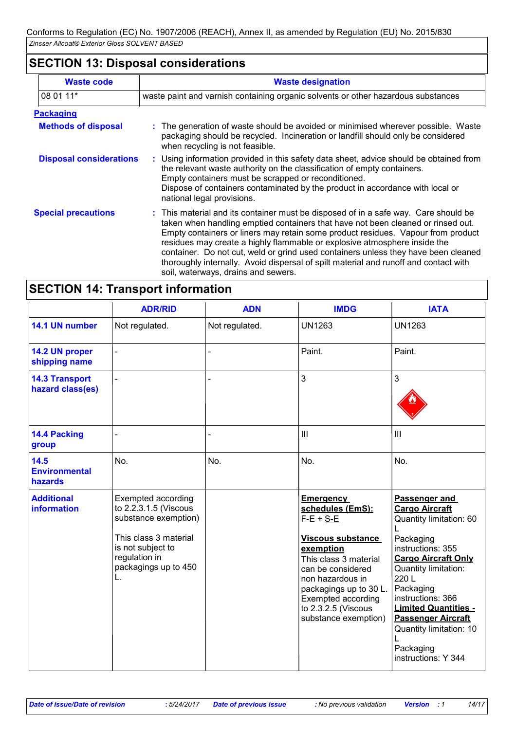# **SECTION 13: Disposal considerations**

| <b>Waste code</b>              | <b>Waste designation</b>                                                                                                                                                                                                                                                                                                                                                                                                                                                                                                                                      |
|--------------------------------|---------------------------------------------------------------------------------------------------------------------------------------------------------------------------------------------------------------------------------------------------------------------------------------------------------------------------------------------------------------------------------------------------------------------------------------------------------------------------------------------------------------------------------------------------------------|
| 08 01 11*                      | waste paint and varnish containing organic solvents or other hazardous substances                                                                                                                                                                                                                                                                                                                                                                                                                                                                             |
| <b>Packaging</b>               |                                                                                                                                                                                                                                                                                                                                                                                                                                                                                                                                                               |
| <b>Methods of disposal</b>     | : The generation of waste should be avoided or minimised wherever possible. Waste<br>packaging should be recycled. Incineration or landfill should only be considered<br>when recycling is not feasible.                                                                                                                                                                                                                                                                                                                                                      |
| <b>Disposal considerations</b> | : Using information provided in this safety data sheet, advice should be obtained from<br>the relevant waste authority on the classification of empty containers.<br>Empty containers must be scrapped or reconditioned.<br>Dispose of containers contaminated by the product in accordance with local or<br>national legal provisions.                                                                                                                                                                                                                       |
| <b>Special precautions</b>     | : This material and its container must be disposed of in a safe way. Care should be<br>taken when handling emptied containers that have not been cleaned or rinsed out.<br>Empty containers or liners may retain some product residues. Vapour from product<br>residues may create a highly flammable or explosive atmosphere inside the<br>container. Do not cut, weld or grind used containers unless they have been cleaned<br>thoroughly internally. Avoid dispersal of spilt material and runoff and contact with<br>soil, waterways, drains and sewers. |

# **SECTION 14: Transport information**

|                                           | <b>ADR/RID</b>                                                                                                                                                   | <b>ADN</b>     | <b>IMDG</b>                                                                                                                                                                                                                                            | <b>IATA</b>                                                                                                                                                                                                                                                                                                                    |
|-------------------------------------------|------------------------------------------------------------------------------------------------------------------------------------------------------------------|----------------|--------------------------------------------------------------------------------------------------------------------------------------------------------------------------------------------------------------------------------------------------------|--------------------------------------------------------------------------------------------------------------------------------------------------------------------------------------------------------------------------------------------------------------------------------------------------------------------------------|
| 14.1 UN number                            | Not regulated.                                                                                                                                                   | Not regulated. | <b>UN1263</b>                                                                                                                                                                                                                                          | <b>UN1263</b>                                                                                                                                                                                                                                                                                                                  |
| 14.2 UN proper<br>shipping name           |                                                                                                                                                                  |                | Paint.                                                                                                                                                                                                                                                 | Paint.                                                                                                                                                                                                                                                                                                                         |
| <b>14.3 Transport</b><br>hazard class(es) |                                                                                                                                                                  |                | 3                                                                                                                                                                                                                                                      | 3                                                                                                                                                                                                                                                                                                                              |
| <b>14.4 Packing</b><br>group              |                                                                                                                                                                  |                | III                                                                                                                                                                                                                                                    | III                                                                                                                                                                                                                                                                                                                            |
| 14.5<br><b>Environmental</b><br>hazards   | No.                                                                                                                                                              | No.            | No.                                                                                                                                                                                                                                                    | No.                                                                                                                                                                                                                                                                                                                            |
| <b>Additional</b><br>information          | Exempted according<br>to 2.2.3.1.5 (Viscous<br>substance exemption)<br>This class 3 material<br>is not subject to<br>regulation in<br>packagings up to 450<br>L. |                | <b>Emergency</b><br>schedules (EmS):<br>$F-E + S-E$<br>Viscous substance<br>exemption<br>This class 3 material<br>can be considered<br>non hazardous in<br>packagings up to 30 L.<br>Exempted according<br>to 2.3.2.5 (Viscous<br>substance exemption) | Passenger and<br><b>Cargo Aircraft</b><br>Quantity limitation: 60<br>Packaging<br>instructions: 355<br><b>Cargo Aircraft Only</b><br>Quantity limitation:<br>220L<br>Packaging<br>instructions: 366<br><b>Limited Quantities -</b><br><b>Passenger Aircraft</b><br>Quantity limitation: 10<br>Packaging<br>instructions: Y 344 |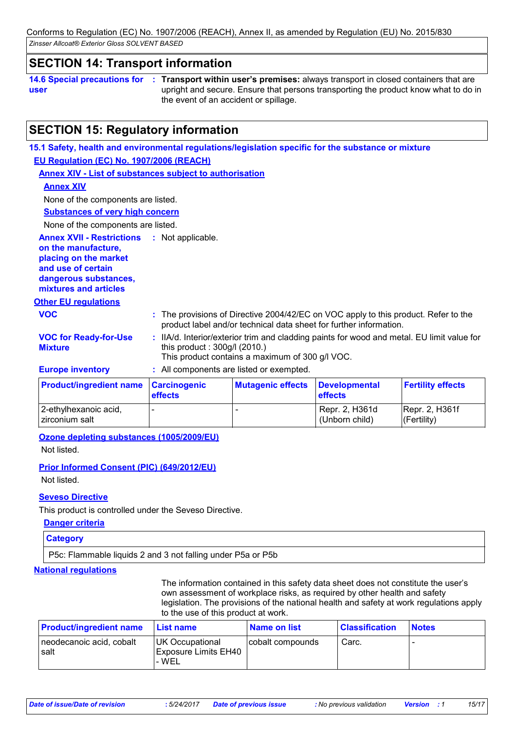*Zinsser Allcoat® Exterior Gloss SOLVENT BASED* Conforms to Regulation (EC) No. 1907/2006 (REACH), Annex II, as amended by Regulation (EU) No. 2015/830

### **SECTION 14: Transport information**

**14.6 Special precautions for user**

**Transport within user's premises:** always transport in closed containers that are **:** upright and secure. Ensure that persons transporting the product know what to do in the event of an accident or spillage.

# **SECTION 15: Regulatory information**

**15.1 Safety, health and environmental regulations/legislation specific for the substance or mixture EU Regulation (EC) No. 1907/2006 (REACH)**

**Annex XIV - List of substances subject to authorisation**

#### **Annex XIV**

None of the components are listed.

**Substances of very high concern**

None of the components are listed.

**Annex XVII - Restrictions : Not applicable.** 

**on the manufacture,**

**placing on the market and use of certain** 

**dangerous substances, mixtures and articles**

# **Other EU regulations**

| <b>VOC</b>        | : The provisions of Directive 2004/42/EC on VOC apply to this product. Refer to the<br>product label and/or technical data sheet for further information. |
|-------------------|-----------------------------------------------------------------------------------------------------------------------------------------------------------|
| $\cdots$ $\cdots$ | rende and the second contract of the second contract of the second contract of the second contract of the second                                          |

**VOC for Ready-for-Use :** IIA/d. Interior/exterior trim and cladding paints for wood and metal. EU limit value for this product : 300g/l (2010.) This product contains a maximum of 300 g/l VOC.

**Europe inventory :** All components are listed or exempted.

**Mixture**

| <b>Product/ingredient name Carcinogenic</b> | <b>effects</b>           | <b>Mutagenic effects</b> | Developmental<br><b>effects</b>  | <b>Fertility effects</b>          |
|---------------------------------------------|--------------------------|--------------------------|----------------------------------|-----------------------------------|
| 2-ethylhexanoic acid,<br>Izirconium salt    | $\overline{\phantom{a}}$ |                          | Repr. 2, H361d<br>(Unborn child) | Repr. 2, H361f<br>$ $ (Fertility) |

**Ozone depleting substances (1005/2009/EU)**

Not listed.

#### **Prior Informed Consent (PIC) (649/2012/EU)**

Not listed.

### **Seveso Directive**

This product is controlled under the Seveso Directive.

#### **Danger criteria**

**Category**

P5c: Flammable liquids 2 and 3 not falling under P5a or P5b

#### **National regulations**

The information contained in this safety data sheet does not constitute the user's own assessment of workplace risks, as required by other health and safety legislation. The provisions of the national health and safety at work regulations apply to the use of this product at work.

| <b>Product/ingredient name</b>   | <b>⊥List name</b>                                              | <u>l Name on list</u> | <b>Classification</b> | <b>Notes</b> |
|----------------------------------|----------------------------------------------------------------|-----------------------|-----------------------|--------------|
| neodecanoic acid, cobalt<br>salt | <b>UK Occupational</b><br><b>Exposure Limits EH40</b><br>- WEL | cobalt compounds      | Carc.                 |              |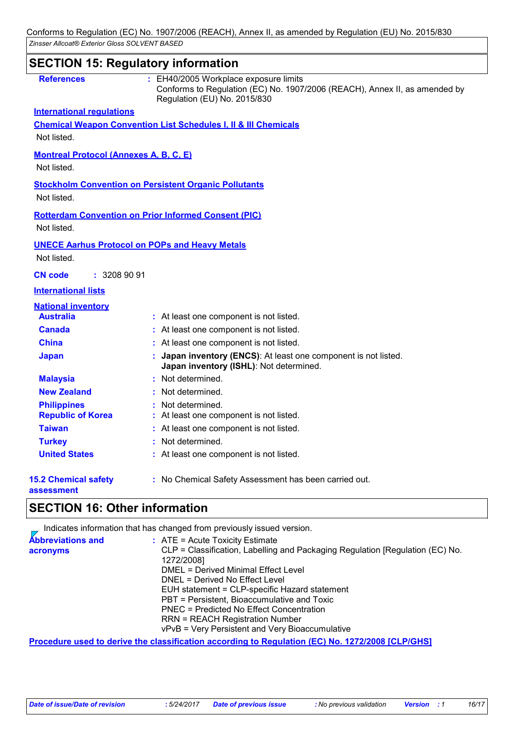### **SECTION 15: Regulatory information International regulations References : 15.2 Chemical safety assessment :** No Chemical Safety Assessment has been carried out. **Chemical Weapon Convention List Schedules I, II & III Chemicals Montreal Protocol (Annexes A, B, C, E)** Not listed. **Stockholm Convention on Persistent Organic Pollutants** Not listed. **Rotterdam Convention on Prior Informed Consent (PIC)** Not listed. Not listed. **UNECE Aarhus Protocol on POPs and Heavy Metals** Not listed. **International lists National inventory Australia :** At least one component is not listed. **Canada :** At least one component is not listed. **China :** At least one component is not listed. **Japan : Japan inventory (ENCS)**: At least one component is not listed. **Japan inventory (ISHL)**: Not determined. **Republic of Korea :** At least one component is not listed. **Malaysia :** Not determined. **New Zealand :** Not determined. **Philippines :** Not determined. **Taiwan :** At least one component is not listed. **United States :** At least one component is not listed. : EH40/2005 Workplace exposure limits Conforms to Regulation (EC) No. 1907/2006 (REACH), Annex II, as amended by Regulation (EU) No. 2015/830 **CN code :** 3208 90 91 **Turkey :** Not determined.

## **SECTION 16: Other information**

|                                      | Indicates information that has changed from previously issued version.                                                                                                                                                                                                                                                                                                                                                                             |
|--------------------------------------|----------------------------------------------------------------------------------------------------------------------------------------------------------------------------------------------------------------------------------------------------------------------------------------------------------------------------------------------------------------------------------------------------------------------------------------------------|
| <b>Abbreviations and</b><br>acronyms | $:$ ATE = Acute Toxicity Estimate<br>CLP = Classification, Labelling and Packaging Regulation [Regulation (EC) No.<br>1272/2008]<br>DMEL = Derived Minimal Effect Level<br>DNEL = Derived No Effect Level<br>EUH statement = CLP-specific Hazard statement<br>PBT = Persistent, Bioaccumulative and Toxic<br>PNEC = Predicted No Effect Concentration<br><b>RRN = REACH Registration Number</b><br>vPvB = Very Persistent and Very Bioaccumulative |
|                                      |                                                                                                                                                                                                                                                                                                                                                                                                                                                    |

**Procedure used to derive the classification according to Regulation (EC) No. 1272/2008 [CLP/GHS]**